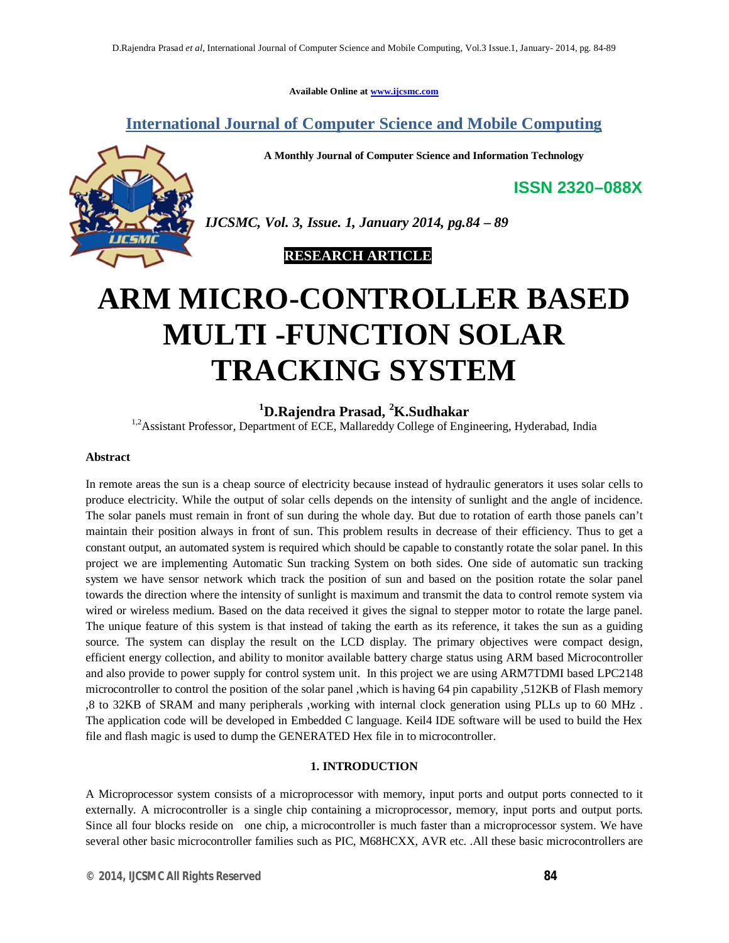**Available Online at www.ijcsmc.com**

# **International Journal of Computer Science and Mobile Computing**

**A Monthly Journal of Computer Science and Information Technology**

**ISSN 2320–088X**



*IJCSMC, Vol. 3, Issue. 1, January 2014, pg.84 – 89*

 **RESEARCH ARTICLE**

# **ARM MICRO-CONTROLLER BASED MULTI -FUNCTION SOLAR TRACKING SYSTEM**

# **<sup>1</sup>D.Rajendra Prasad, <sup>2</sup>K.Sudhakar**

<sup>1,2</sup> Assistant Professor, Department of ECE, Mallareddy College of Engineering, Hyderabad, India

## **Abstract**

In remote areas the sun is a cheap source of electricity because instead of hydraulic generators it uses solar cells to produce electricity. While the output of solar cells depends on the intensity of sunlight and the angle of incidence. The solar panels must remain in front of sun during the whole day. But due to rotation of earth those panels can't maintain their position always in front of sun. This problem results in decrease of their efficiency. Thus to get a constant output, an automated system is required which should be capable to constantly rotate the solar panel. In this project we are implementing Automatic Sun tracking System on both sides. One side of automatic sun tracking system we have sensor network which track the position of sun and based on the position rotate the solar panel towards the direction where the intensity of sunlight is maximum and transmit the data to control remote system via wired or wireless medium. Based on the data received it gives the signal to stepper motor to rotate the large panel. The unique feature of this system is that instead of taking the earth as its reference, it takes the sun as a guiding source. The system can display the result on the LCD display. The primary objectives were compact design, efficient energy collection, and ability to monitor available battery charge status using ARM based Microcontroller and also provide to power supply for control system unit. In this project we are using ARM7TDMI based LPC2148 microcontroller to control the position of the solar panel ,which is having 64 pin capability ,512KB of Flash memory ,8 to 32KB of SRAM and many peripherals ,working with internal clock generation using PLLs up to 60 MHz . The application code will be developed in Embedded C language. Keil4 IDE software will be used to build the Hex file and flash magic is used to dump the GENERATED Hex file in to microcontroller.

# **1. INTRODUCTION**

A Microprocessor system consists of a microprocessor with memory, input ports and output ports connected to it externally. A microcontroller is a single chip containing a microprocessor, memory, input ports and output ports. Since all four blocks reside on one chip, a microcontroller is much faster than a microprocessor system. We have several other basic microcontroller families such as PIC, M68HCXX, AVR etc. .All these basic microcontrollers are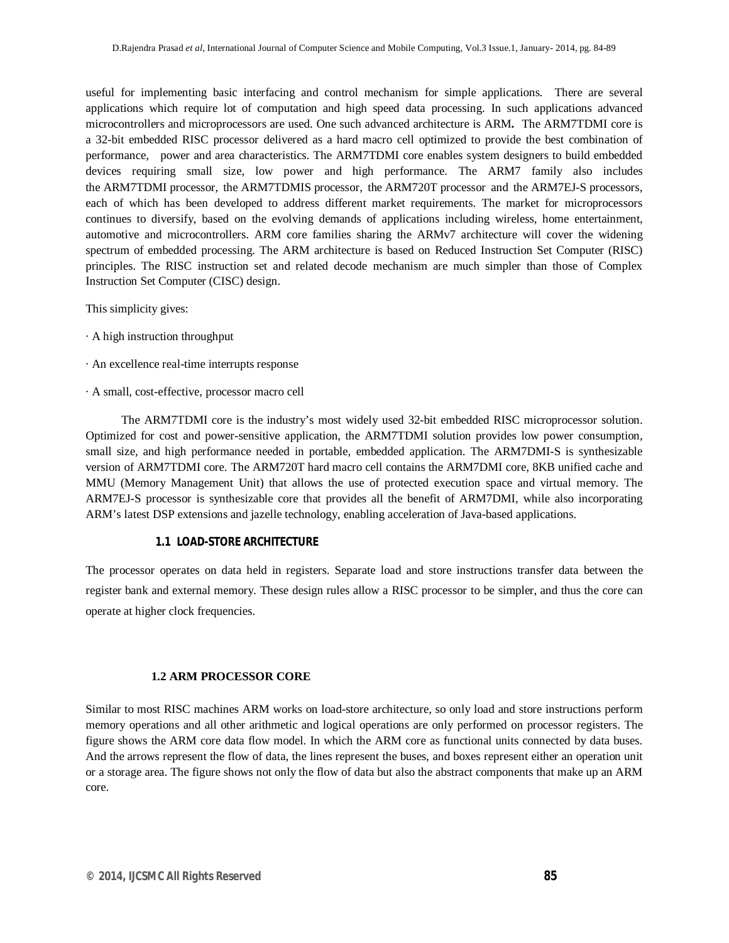useful for implementing basic interfacing and control mechanism for simple applications. There are several applications which require lot of computation and high speed data processing. In such applications advanced microcontrollers and microprocessors are used. One such advanced architecture is ARM**.** The ARM7TDMI core is a 32-bit embedded RISC processor delivered as a hard macro cell optimized to provide the best combination of performance, power and area characteristics. The ARM7TDMI core enables system designers to build embedded devices requiring small size, low power and high performance. The ARM7 family also includes the ARM7TDMI processor, the ARM7TDMIS processor, the ARM720T processor and the ARM7EJ-S processors, each of which has been developed to address different market requirements. The market for microprocessors continues to diversify, based on the evolving demands of applications including wireless, home entertainment, automotive and microcontrollers. ARM core families sharing the ARMv7 architecture will cover the widening spectrum of embedded processing. The ARM architecture is based on Reduced Instruction Set Computer (RISC) principles. The RISC instruction set and related decode mechanism are much simpler than those of Complex Instruction Set Computer (CISC) design.

This simplicity gives:

- · A high instruction throughput
- · An excellence real-time interrupts response
- · A small, cost-effective, processor macro cell

 The ARM7TDMI core is the industry's most widely used 32-bit embedded RISC microprocessor solution. Optimized for cost and power-sensitive application, the ARM7TDMI solution provides low power consumption, small size, and high performance needed in portable, embedded application. The ARM7DMI-S is synthesizable version of ARM7TDMI core. The ARM720T hard macro cell contains the ARM7DMI core, 8KB unified cache and MMU (Memory Management Unit) that allows the use of protected execution space and virtual memory. The ARM7EJ-S processor is synthesizable core that provides all the benefit of ARM7DMI, while also incorporating ARM's latest DSP extensions and jazelle technology, enabling acceleration of Java-based applications.

#### **1.1 LOAD-STORE ARCHITECTURE**

The processor operates on data held in registers. Separate load and store instructions transfer data between the register bank and external memory. These design rules allow a RISC processor to be simpler, and thus the core can operate at higher clock frequencies.

#### **1.2 ARM PROCESSOR CORE**

Similar to most RISC machines ARM works on load-store architecture, so only load and store instructions perform memory operations and all other arithmetic and logical operations are only performed on processor registers. The figure shows the ARM core data flow model. In which the ARM core as functional units connected by data buses. And the arrows represent the flow of data, the lines represent the buses, and boxes represent either an operation unit or a storage area. The figure shows not only the flow of data but also the abstract components that make up an ARM core.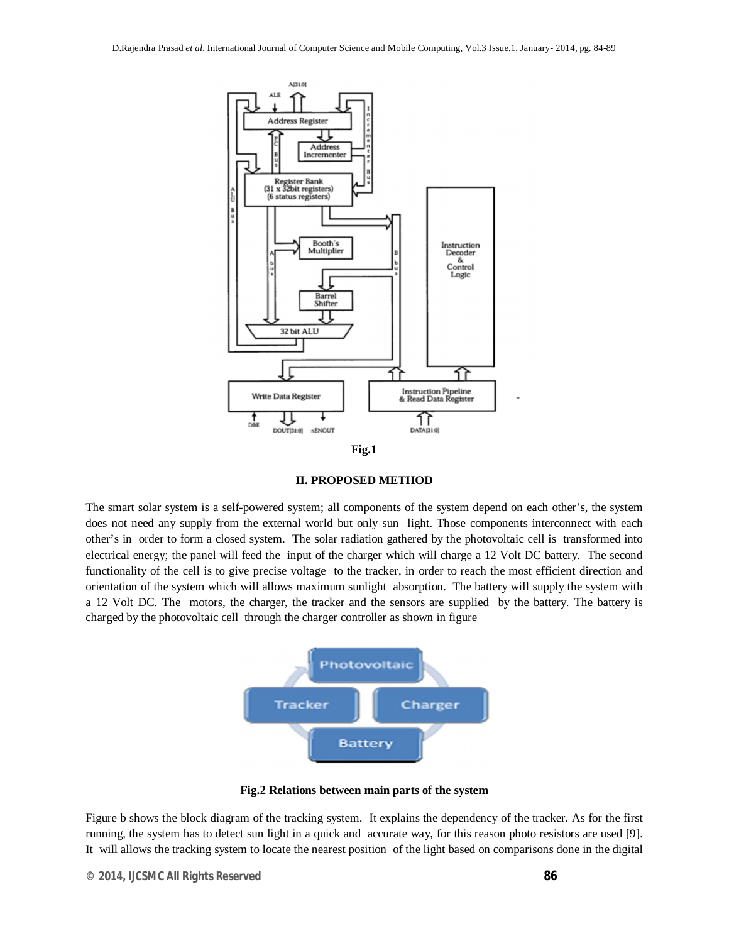



The smart solar system is a self-powered system; all components of the system depend on each other's, the system does not need any supply from the external world but only sun light. Those components interconnect with each other's in order to form a closed system. The solar radiation gathered by the photovoltaic cell is transformed into electrical energy; the panel will feed the input of the charger which will charge a 12 Volt DC battery. The second functionality of the cell is to give precise voltage to the tracker, in order to reach the most efficient direction and orientation of the system which will allows maximum sunlight absorption. The battery will supply the system with a 12 Volt DC. The motors, the charger, the tracker and the sensors are supplied by the battery. The battery is charged by the photovoltaic cell through the charger controller as shown in figure



**Fig.2 Relations between main parts of the system**

Figure b shows the block diagram of the tracking system. It explains the dependency of the tracker. As for the first running, the system has to detect sun light in a quick and accurate way, for this reason photo resistors are used [9]. It will allows the tracking system to locate the nearest position of the light based on comparisons done in the digital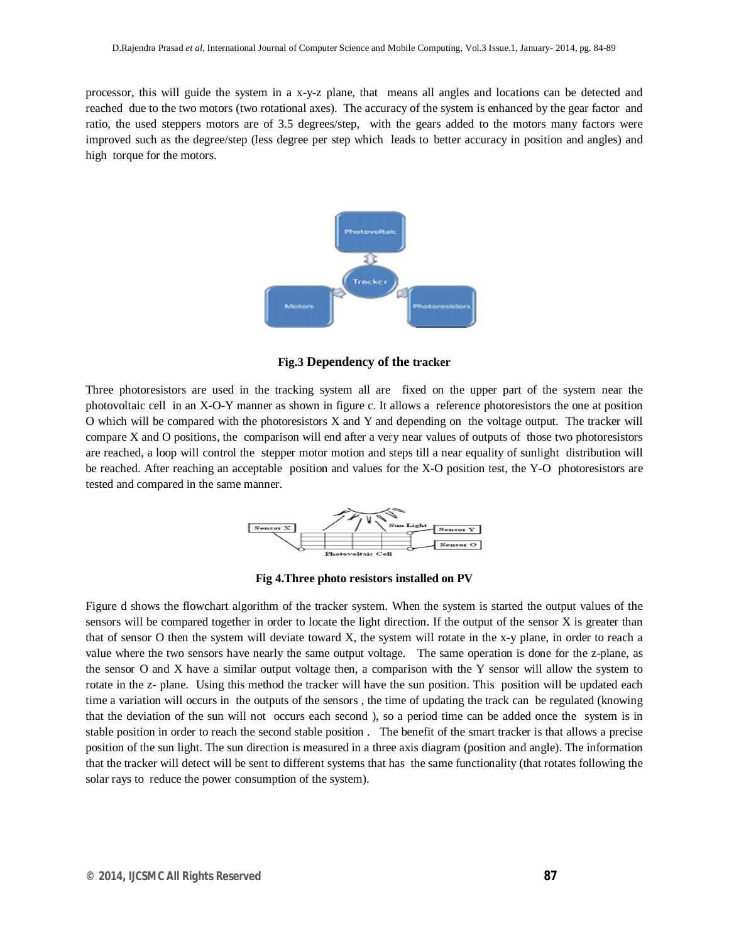processor, this will guide the system in a x-y-z plane, that means all angles and locations can be detected and reached due to the two motors (two rotational axes). The accuracy of the system is enhanced by the gear factor and ratio, the used steppers motors are of 3.5 degrees/step, with the gears added to the motors many factors were improved such as the degree/step (less degree per step which leads to better accuracy in position and angles) and high torque for the motors.



**Fig.3 Dependency of the tracker**

Three photoresistors are used in the tracking system all are fixed on the upper part of the system near the photovoltaic cell in an X-O-Y manner as shown in figure c. It allows a reference photoresistors the one at position O which will be compared with the photoresistors X and Y and depending on the voltage output. The tracker will compare X and O positions, the comparison will end after a very near values of outputs of those two photoresistors are reached, a loop will control the stepper motor motion and steps till a near equality of sunlight distribution will be reached. After reaching an acceptable position and values for the X-O position test, the Y-O photoresistors are tested and compared in the same manner.



**Fig 4.Three photo resistors installed on PV**

Figure d shows the flowchart algorithm of the tracker system. When the system is started the output values of the sensors will be compared together in order to locate the light direction. If the output of the sensor X is greater than that of sensor O then the system will deviate toward X, the system will rotate in the x-y plane, in order to reach a value where the two sensors have nearly the same output voltage. The same operation is done for the z-plane, as the sensor O and X have a similar output voltage then, a comparison with the Y sensor will allow the system to rotate in the z- plane. Using this method the tracker will have the sun position. This position will be updated each time a variation will occurs in the outputs of the sensors , the time of updating the track can be regulated (knowing that the deviation of the sun will not occurs each second ), so a period time can be added once the system is in stable position in order to reach the second stable position . The benefit of the smart tracker is that allows a precise position of the sun light. The sun direction is measured in a three axis diagram (position and angle). The information that the tracker will detect will be sent to different systems that has the same functionality (that rotates following the solar rays to reduce the power consumption of the system).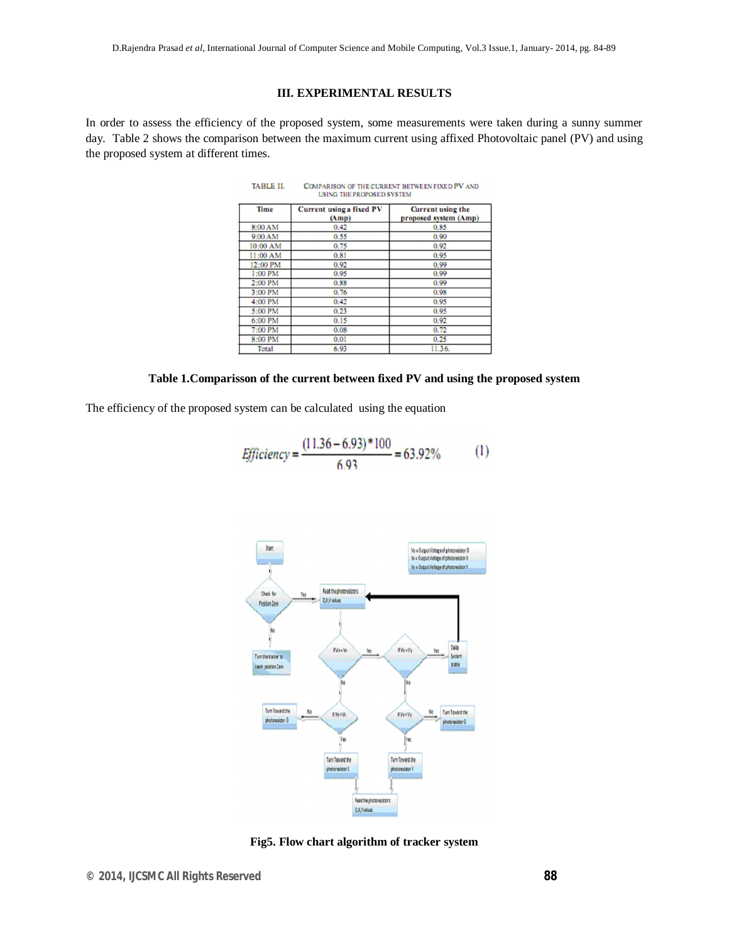# **III. EXPERIMENTAL RESULTS**

In order to assess the efficiency of the proposed system, some measurements were taken during a sunny summer day. Table 2 shows the comparison between the maximum current using affixed Photovoltaic panel (PV) and using the proposed system at different times.

| Time      | <b>Current using a fixed PV</b><br>(Amp) | <b>Current using the</b><br>proposed system (Amp) |
|-----------|------------------------------------------|---------------------------------------------------|
| 8:00 AM   | 0.42                                     | 0.85                                              |
| 9:00 AM   | 0.55                                     | 0.90                                              |
| 10:00 AM  | 0.75                                     | 0.92                                              |
| 11:00 AM  | 0.81                                     | 0.95                                              |
| 12:00 PM  | 0.92                                     | 0.99                                              |
| $1:00$ PM | 0.95                                     | 0.99                                              |
| 2:00 PM   | 0.88                                     | 0.99                                              |
| 3:00 PM   | 0.76                                     | 0.98                                              |
| 4:00 PM   | 0.42                                     | 0.95                                              |
| 5:00 PM   | 0.23                                     | 0.95                                              |
| 6:00 PM   | 0.15                                     | 0.92                                              |
| 7:00 PM   | 0.08                                     | 0.72                                              |
| 8:00 PM   | 0.01                                     | 0.25                                              |
| Total     | 6.93                                     | 11.36.                                            |

| TABLE II. | COMPARISON OF THE CURRENT BETWEEN FIXED PV AND |
|-----------|------------------------------------------------|
|           | USING THE PROPOSED SYSTEM                      |

## **Table 1.Comparisson of the current between fixed PV and using the proposed system**

The efficiency of the proposed system can be calculated using the equation

$$
Efficiency = \frac{(11.36 - 6.93)^*100}{6.93} = 63.92\% \tag{1}
$$



**Fig5. Flow chart algorithm of tracker system**